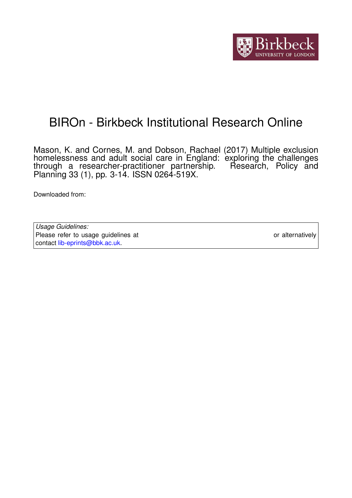

# BIROn - Birkbeck Institutional Research Online

Mason, K. and Cornes, M. and Dobson, Rachael (2017) Multiple exclusion homelessness and adult social care in England: exploring the challenges through a researcher-practitioner partnership. Research, Policy and Planning 33 (1), pp. 3-14. ISSN 0264-519X.

Downloaded from: <https://eprints.bbk.ac.uk/id/eprint/20621/>

*Usage Guidelines:* Please refer to usage guidelines at <https://eprints.bbk.ac.uk/policies.html> or alternatively contact [lib-eprints@bbk.ac.uk.](mailto:lib-eprints@bbk.ac.uk)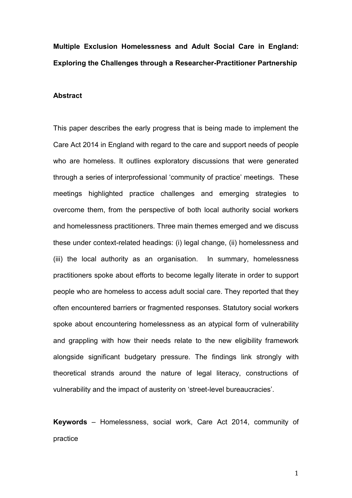# **Multiple Exclusion Homelessness and Adult Social Care in England: Exploring the Challenges through a Researcher-Practitioner Partnership**

#### **Abstract**

This paper describes the early progress that is being made to implement the Care Act 2014 in England with regard to the care and support needs of people who are homeless. It outlines exploratory discussions that were generated through a series of interprofessional 'community of practice' meetings. These meetings highlighted practice challenges and emerging strategies to overcome them, from the perspective of both local authority social workers and homelessness practitioners. Three main themes emerged and we discuss these under context-related headings: (i) legal change, (ii) homelessness and (iii) the local authority as an organisation. In summary, homelessness practitioners spoke about efforts to become legally literate in order to support people who are homeless to access adult social care. They reported that they often encountered barriers or fragmented responses. Statutory social workers spoke about encountering homelessness as an atypical form of vulnerability and grappling with how their needs relate to the new eligibility framework alongside significant budgetary pressure. The findings link strongly with theoretical strands around the nature of legal literacy, constructions of vulnerability and the impact of austerity on 'street-level bureaucracies'.

**Keywords** – Homelessness, social work, Care Act 2014, community of practice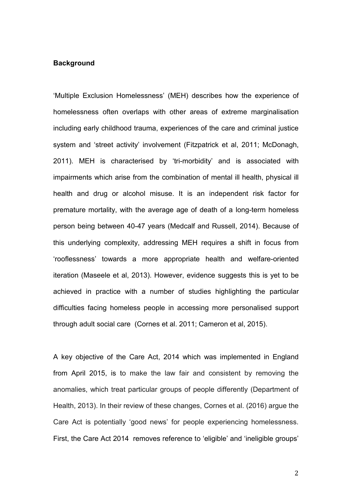# **Background**

'Multiple Exclusion Homelessness' (MEH) describes how the experience of homelessness often overlaps with other areas of extreme marginalisation including early childhood trauma, experiences of the care and criminal justice system and 'street activity' involvement (Fitzpatrick et al, 2011; McDonagh, 2011). MEH is characterised by 'tri-morbidity' and is associated with impairments which arise from the combination of mental ill health, physical ill health and drug or alcohol misuse. It is an independent risk factor for premature mortality, with the average age of death of a long-term homeless person being between 40-47 years (Medcalf and Russell, 2014). Because of this underlying complexity, addressing MEH requires a shift in focus from 'rooflessness' towards a more appropriate health and welfare-oriented iteration (Maseele et al, 2013). However, evidence suggests this is yet to be achieved in practice with a number of studies highlighting the particular difficulties facing homeless people in accessing more personalised support through adult social care (Cornes et al. 2011; Cameron et al, 2015).

A key objective of the Care Act, 2014 which was implemented in England from April 2015, is to make the law fair and consistent by removing the anomalies, which treat particular groups of people differently (Department of Health, 2013). In their review of these changes, Cornes et al. (2016) argue the Care Act is potentially 'good news' for people experiencing homelessness. First, the Care Act 2014 removes reference to 'eligible' and 'ineligible groups'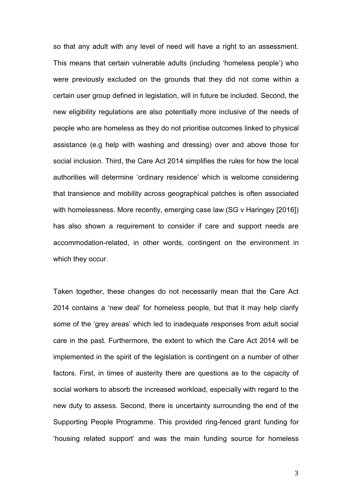so that any adult with any level of need will have a right to an assessment. This means that certain vulnerable adults (including 'homeless people') who were previously excluded on the grounds that they did not come within a certain user group defined in legislation, will in future be included. Second, the new eligibility regulations are also potentially more inclusive of the needs of people who are homeless as they do not prioritise outcomes linked to physical assistance (e.g help with washing and dressing) over and above those for social inclusion. Third, the Care Act 2014 simplifies the rules for how the local authorities will determine 'ordinary residence' which is welcome considering that transience and mobility across geographical patches is often associated with homelessness. More recently, emerging case law (SG v Haringey [2016]) has also shown a requirement to consider if care and support needs are accommodation-related, in other words, contingent on the environment in which they occur.

Taken together, these changes do not necessarily mean that the Care Act 2014 contains a 'new deal' for homeless people, but that it may help clarify some of the 'grey areas' which led to inadequate responses from adult social care in the past. Furthermore, the extent to which the Care Act 2014 will be implemented in the spirit of the legislation is contingent on a number of other factors. First, in times of austerity there are questions as to the capacity of social workers to absorb the increased workload, especially with regard to the new duty to assess. Second, there is uncertainty surrounding the end of the Supporting People Programme. This provided ring-fenced grant funding for 'housing related support' and was the main funding source for homeless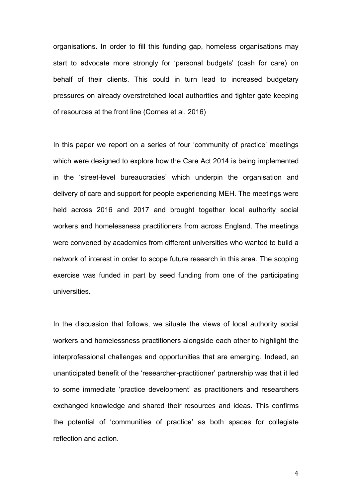organisations. In order to fill this funding gap, homeless organisations may start to advocate more strongly for 'personal budgets' (cash for care) on behalf of their clients. This could in turn lead to increased budgetary pressures on already overstretched local authorities and tighter gate keeping of resources at the front line (Cornes et al. 2016)

In this paper we report on a series of four 'community of practice' meetings which were designed to explore how the Care Act 2014 is being implemented in the 'street-level bureaucracies' which underpin the organisation and delivery of care and support for people experiencing MEH. The meetings were held across 2016 and 2017 and brought together local authority social workers and homelessness practitioners from across England. The meetings were convened by academics from different universities who wanted to build a network of interest in order to scope future research in this area. The scoping exercise was funded in part by seed funding from one of the participating universities.

In the discussion that follows, we situate the views of local authority social workers and homelessness practitioners alongside each other to highlight the interprofessional challenges and opportunities that are emerging. Indeed, an unanticipated benefit of the 'researcher-practitioner' partnership was that it led to some immediate 'practice development' as practitioners and researchers exchanged knowledge and shared their resources and ideas. This confirms the potential of 'communities of practice' as both spaces for collegiate reflection and action.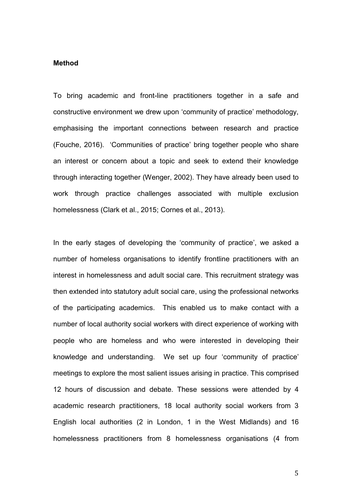#### **Method**

To bring academic and front-line practitioners together in a safe and constructive environment we drew upon 'community of practice' methodology, emphasising the important connections between research and practice (Fouche, 2016). 'Communities of practice' bring together people who share an interest or concern about a topic and seek to extend their knowledge through interacting together (Wenger, 2002). They have already been used to work through practice challenges associated with multiple exclusion homelessness (Clark et al., 2015; Cornes et al., 2013).

In the early stages of developing the 'community of practice', we asked a number of homeless organisations to identify frontline practitioners with an interest in homelessness and adult social care. This recruitment strategy was then extended into statutory adult social care, using the professional networks of the participating academics. This enabled us to make contact with a number of local authority social workers with direct experience of working with people who are homeless and who were interested in developing their knowledge and understanding. We set up four 'community of practice' meetings to explore the most salient issues arising in practice. This comprised 12 hours of discussion and debate. These sessions were attended by 4 academic research practitioners, 18 local authority social workers from 3 English local authorities (2 in London, 1 in the West Midlands) and 16 homelessness practitioners from 8 homelessness organisations (4 from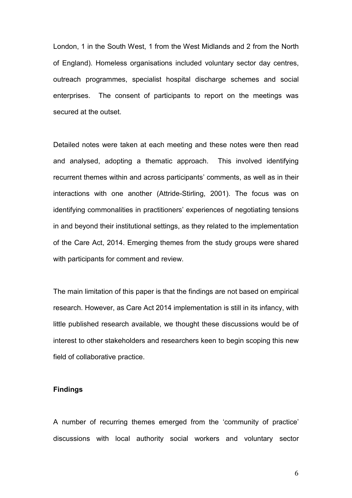London, 1 in the South West, 1 from the West Midlands and 2 from the North of England). Homeless organisations included voluntary sector day centres, outreach programmes, specialist hospital discharge schemes and social enterprises. The consent of participants to report on the meetings was secured at the outset.

Detailed notes were taken at each meeting and these notes were then read and analysed, adopting a thematic approach. This involved identifying recurrent themes within and across participants' comments, as well as in their interactions with one another (Attride-Stirling, 2001). The focus was on identifying commonalities in practitioners' experiences of negotiating tensions in and beyond their institutional settings, as they related to the implementation of the Care Act, 2014. Emerging themes from the study groups were shared with participants for comment and review.

The main limitation of this paper is that the findings are not based on empirical research. However, as Care Act 2014 implementation is still in its infancy, with little published research available, we thought these discussions would be of interest to other stakeholders and researchers keen to begin scoping this new field of collaborative practice.

#### **Findings**

A number of recurring themes emerged from the 'community of practice' discussions with local authority social workers and voluntary sector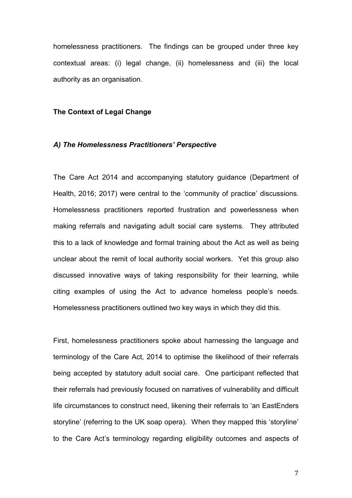homelessness practitioners. The findings can be grouped under three key contextual areas: (i) legal change, (ii) homelessness and (iii) the local authority as an organisation.

#### **The Context of Legal Change**

#### *A) The Homelessness Practitioners' Perspective*

The Care Act 2014 and accompanying statutory guidance (Department of Health, 2016; 2017) were central to the 'community of practice' discussions. Homelessness practitioners reported frustration and powerlessness when making referrals and navigating adult social care systems. They attributed this to a lack of knowledge and formal training about the Act as well as being unclear about the remit of local authority social workers. Yet this group also discussed innovative ways of taking responsibility for their learning, while citing examples of using the Act to advance homeless people's needs. Homelessness practitioners outlined two key ways in which they did this.

First, homelessness practitioners spoke about harnessing the language and terminology of the Care Act, 2014 to optimise the likelihood of their referrals being accepted by statutory adult social care. One participant reflected that their referrals had previously focused on narratives of vulnerability and difficult life circumstances to construct need, likening their referrals to 'an EastEnders storyline' (referring to the UK soap opera). When they mapped this 'storyline' to the Care Act's terminology regarding eligibility outcomes and aspects of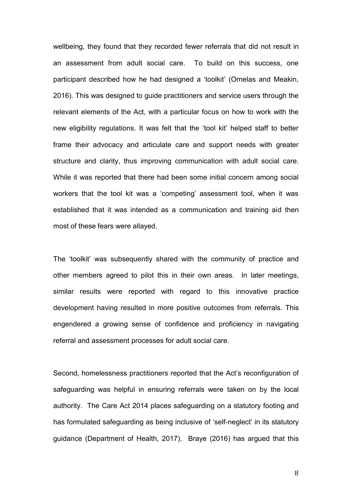wellbeing, they found that they recorded fewer referrals that did not result in an assessment from adult social care. To build on this success, one participant described how he had designed a 'toolkit' (Ornelas and Meakin, 2016). This was designed to guide practitioners and service users through the relevant elements of the Act, with a particular focus on how to work with the new eligibility regulations. It was felt that the 'tool kit' helped staff to better frame their advocacy and articulate care and support needs with greater structure and clarity, thus improving communication with adult social care. While it was reported that there had been some initial concern among social workers that the tool kit was a 'competing' assessment tool, when it was established that it was intended as a communication and training aid then most of these fears were allayed.

The 'toolkit' was subsequently shared with the community of practice and other members agreed to pilot this in their own areas. In later meetings, similar results were reported with regard to this innovative practice development having resulted in more positive outcomes from referrals. This engendered a growing sense of confidence and proficiency in navigating referral and assessment processes for adult social care.

Second, homelessness practitioners reported that the Act's reconfiguration of safeguarding was helpful in ensuring referrals were taken on by the local authority. The Care Act 2014 places safeguarding on a statutory footing and has formulated safeguarding as being inclusive of 'self-neglect' in its statutory guidance (Department of Health, 2017). Braye (2016) has argued that this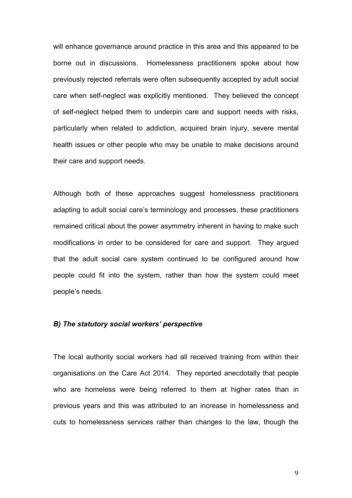will enhance governance around practice in this area and this appeared to be borne out in discussions. Homelessness practitioners spoke about how previously rejected referrals were often subsequently accepted by adult social care when self-neglect was explicitly mentioned. They believed the concept of self-neglect helped them to underpin care and support needs with risks, particularly when related to addiction, acquired brain injury, severe mental health issues or other people who may be unable to make decisions around their care and support needs.

Although both of these approaches suggest homelessness practitioners adapting to adult social care's terminology and processes, these practitioners remained critical about the power asymmetry inherent in having to make such modifications in order to be considered for care and support. They argued that the adult social care system continued to be configured around how people could fit into the system, rather than how the system could meet people's needs.

## *B) The statutory social workers' perspective*

The local authority social workers had all received training from within their organisations on the Care Act 2014. They reported anecdotally that people who are homeless were being referred to them at higher rates than in previous years and this was attributed to an increase in homelessness and cuts to homelessness services rather than changes to the law, though the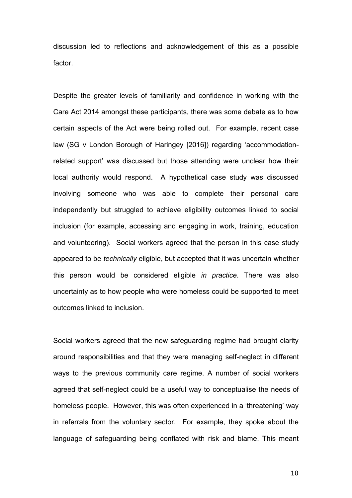discussion led to reflections and acknowledgement of this as a possible factor.

Despite the greater levels of familiarity and confidence in working with the Care Act 2014 amongst these participants, there was some debate as to how certain aspects of the Act were being rolled out. For example, recent case law (SG v London Borough of Haringey [2016]) regarding 'accommodationrelated support' was discussed but those attending were unclear how their local authority would respond. A hypothetical case study was discussed involving someone who was able to complete their personal care independently but struggled to achieve eligibility outcomes linked to social inclusion (for example, accessing and engaging in work, training, education and volunteering). Social workers agreed that the person in this case study appeared to be *technically* eligible, but accepted that it was uncertain whether this person would be considered eligible *in practice*. There was also uncertainty as to how people who were homeless could be supported to meet outcomes linked to inclusion.

Social workers agreed that the new safeguarding regime had brought clarity around responsibilities and that they were managing self-neglect in different ways to the previous community care regime. A number of social workers agreed that self-neglect could be a useful way to conceptualise the needs of homeless people. However, this was often experienced in a 'threatening' way in referrals from the voluntary sector. For example, they spoke about the language of safeguarding being conflated with risk and blame. This meant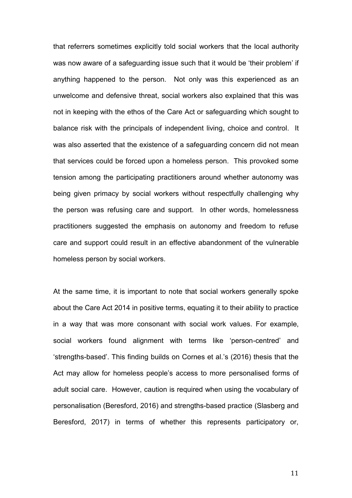that referrers sometimes explicitly told social workers that the local authority was now aware of a safeguarding issue such that it would be 'their problem' if anything happened to the person. Not only was this experienced as an unwelcome and defensive threat, social workers also explained that this was not in keeping with the ethos of the Care Act or safeguarding which sought to balance risk with the principals of independent living, choice and control. It was also asserted that the existence of a safeguarding concern did not mean that services could be forced upon a homeless person. This provoked some tension among the participating practitioners around whether autonomy was being given primacy by social workers without respectfully challenging why the person was refusing care and support. In other words, homelessness practitioners suggested the emphasis on autonomy and freedom to refuse care and support could result in an effective abandonment of the vulnerable homeless person by social workers.

At the same time, it is important to note that social workers generally spoke about the Care Act 2014 in positive terms, equating it to their ability to practice in a way that was more consonant with social work values. For example, social workers found alignment with terms like 'person-centred' and 'strengths-based'. This finding builds on Cornes et al.'s (2016) thesis that the Act may allow for homeless people's access to more personalised forms of adult social care. However, caution is required when using the vocabulary of personalisation (Beresford, 2016) and strengths-based practice (Slasberg and Beresford, 2017) in terms of whether this represents participatory or,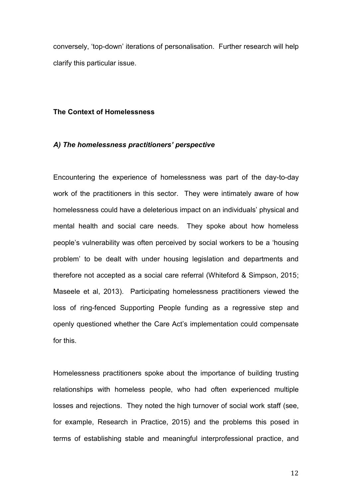conversely, 'top-down' iterations of personalisation. Further research will help clarify this particular issue.

#### **The Context of Homelessness**

#### *A) The homelessness practitioners' perspective*

Encountering the experience of homelessness was part of the day-to-day work of the practitioners in this sector. They were intimately aware of how homelessness could have a deleterious impact on an individuals' physical and mental health and social care needs. They spoke about how homeless people's vulnerability was often perceived by social workers to be a 'housing problem' to be dealt with under housing legislation and departments and therefore not accepted as a social care referral (Whiteford & Simpson, 2015; Maseele et al, 2013). Participating homelessness practitioners viewed the loss of ring-fenced Supporting People funding as a regressive step and openly questioned whether the Care Act's implementation could compensate for this.

Homelessness practitioners spoke about the importance of building trusting relationships with homeless people, who had often experienced multiple losses and rejections. They noted the high turnover of social work staff (see, for example, Research in Practice, 2015) and the problems this posed in terms of establishing stable and meaningful interprofessional practice, and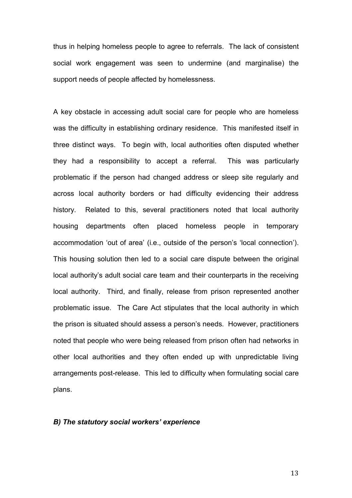thus in helping homeless people to agree to referrals. The lack of consistent social work engagement was seen to undermine (and marginalise) the support needs of people affected by homelessness.

A key obstacle in accessing adult social care for people who are homeless was the difficulty in establishing ordinary residence. This manifested itself in three distinct ways. To begin with, local authorities often disputed whether they had a responsibility to accept a referral. This was particularly problematic if the person had changed address or sleep site regularly and across local authority borders or had difficulty evidencing their address history. Related to this, several practitioners noted that local authority housing departments often placed homeless people in temporary accommodation 'out of area' (i.e., outside of the person's 'local connection'). This housing solution then led to a social care dispute between the original local authority's adult social care team and their counterparts in the receiving local authority. Third, and finally, release from prison represented another problematic issue. The Care Act stipulates that the local authority in which the prison is situated should assess a person's needs. However, practitioners noted that people who were being released from prison often had networks in other local authorities and they often ended up with unpredictable living arrangements post-release. This led to difficulty when formulating social care plans.

# *B) The statutory social workers' experience*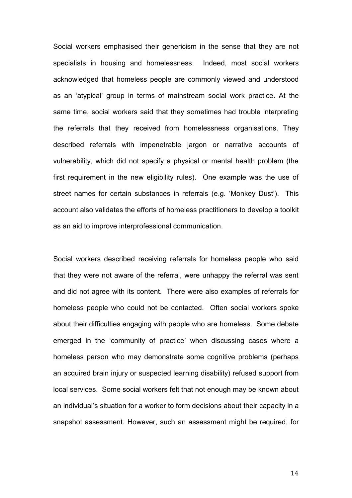Social workers emphasised their genericism in the sense that they are not specialists in housing and homelessness. Indeed, most social workers acknowledged that homeless people are commonly viewed and understood as an 'atypical' group in terms of mainstream social work practice. At the same time, social workers said that they sometimes had trouble interpreting the referrals that they received from homelessness organisations. They described referrals with impenetrable jargon or narrative accounts of vulnerability, which did not specify a physical or mental health problem (the first requirement in the new eligibility rules). One example was the use of street names for certain substances in referrals (e.g. 'Monkey Dust'). This account also validates the efforts of homeless practitioners to develop a toolkit as an aid to improve interprofessional communication.

Social workers described receiving referrals for homeless people who said that they were not aware of the referral, were unhappy the referral was sent and did not agree with its content. There were also examples of referrals for homeless people who could not be contacted. Often social workers spoke about their difficulties engaging with people who are homeless. Some debate emerged in the 'community of practice' when discussing cases where a homeless person who may demonstrate some cognitive problems (perhaps an acquired brain injury or suspected learning disability) refused support from local services. Some social workers felt that not enough may be known about an individual's situation for a worker to form decisions about their capacity in a snapshot assessment. However, such an assessment might be required, for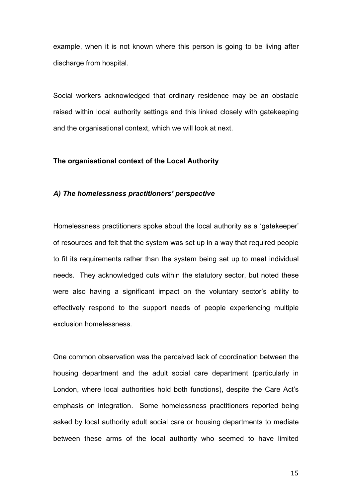example, when it is not known where this person is going to be living after discharge from hospital.

Social workers acknowledged that ordinary residence may be an obstacle raised within local authority settings and this linked closely with gatekeeping and the organisational context, which we will look at next.

#### **The organisational context of the Local Authority**

# *A) The homelessness practitioners' perspective*

Homelessness practitioners spoke about the local authority as a 'gatekeeper' of resources and felt that the system was set up in a way that required people to fit its requirements rather than the system being set up to meet individual needs. They acknowledged cuts within the statutory sector, but noted these were also having a significant impact on the voluntary sector's ability to effectively respond to the support needs of people experiencing multiple exclusion homelessness.

One common observation was the perceived lack of coordination between the housing department and the adult social care department (particularly in London, where local authorities hold both functions), despite the Care Act's emphasis on integration. Some homelessness practitioners reported being asked by local authority adult social care or housing departments to mediate between these arms of the local authority who seemed to have limited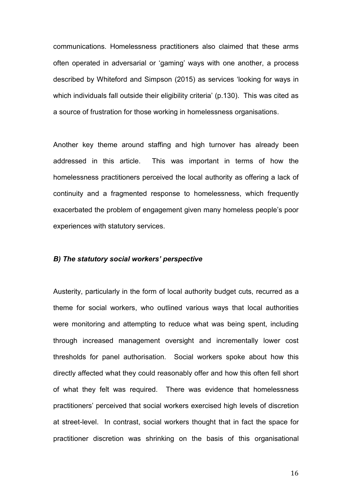communications. Homelessness practitioners also claimed that these arms often operated in adversarial or 'gaming' ways with one another, a process described by Whiteford and Simpson (2015) as services 'looking for ways in which individuals fall outside their eligibility criteria' (p.130). This was cited as a source of frustration for those working in homelessness organisations.

Another key theme around staffing and high turnover has already been addressed in this article. This was important in terms of how the homelessness practitioners perceived the local authority as offering a lack of continuity and a fragmented response to homelessness, which frequently exacerbated the problem of engagement given many homeless people's poor experiences with statutory services.

#### *B) The statutory social workers' perspective*

Austerity, particularly in the form of local authority budget cuts, recurred as a theme for social workers, who outlined various ways that local authorities were monitoring and attempting to reduce what was being spent, including through increased management oversight and incrementally lower cost thresholds for panel authorisation. Social workers spoke about how this directly affected what they could reasonably offer and how this often fell short of what they felt was required. There was evidence that homelessness practitioners' perceived that social workers exercised high levels of discretion at street-level. In contrast, social workers thought that in fact the space for practitioner discretion was shrinking on the basis of this organisational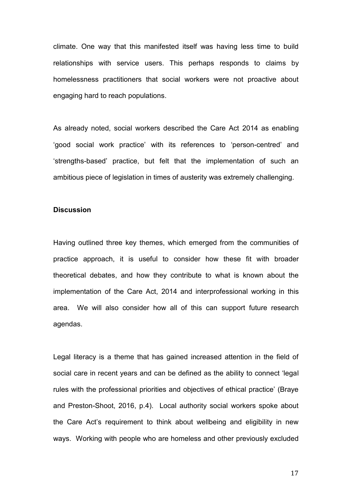climate. One way that this manifested itself was having less time to build relationships with service users. This perhaps responds to claims by homelessness practitioners that social workers were not proactive about engaging hard to reach populations.

As already noted, social workers described the Care Act 2014 as enabling 'good social work practice' with its references to 'person-centred' and 'strengths-based' practice, but felt that the implementation of such an ambitious piece of legislation in times of austerity was extremely challenging.

#### **Discussion**

Having outlined three key themes, which emerged from the communities of practice approach, it is useful to consider how these fit with broader theoretical debates, and how they contribute to what is known about the implementation of the Care Act, 2014 and interprofessional working in this area. We will also consider how all of this can support future research agendas.

Legal literacy is a theme that has gained increased attention in the field of social care in recent years and can be defined as the ability to connect 'legal rules with the professional priorities and objectives of ethical practice' (Braye and Preston-Shoot, 2016, p.4). Local authority social workers spoke about the Care Act's requirement to think about wellbeing and eligibility in new ways. Working with people who are homeless and other previously excluded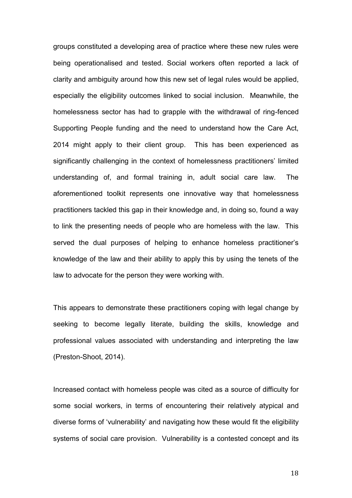groups constituted a developing area of practice where these new rules were being operationalised and tested. Social workers often reported a lack of clarity and ambiguity around how this new set of legal rules would be applied, especially the eligibility outcomes linked to social inclusion. Meanwhile, the homelessness sector has had to grapple with the withdrawal of ring-fenced Supporting People funding and the need to understand how the Care Act, 2014 might apply to their client group. This has been experienced as significantly challenging in the context of homelessness practitioners' limited understanding of, and formal training in, adult social care law. The aforementioned toolkit represents one innovative way that homelessness practitioners tackled this gap in their knowledge and, in doing so, found a way to link the presenting needs of people who are homeless with the law. This served the dual purposes of helping to enhance homeless practitioner's knowledge of the law and their ability to apply this by using the tenets of the law to advocate for the person they were working with.

This appears to demonstrate these practitioners coping with legal change by seeking to become legally literate, building the skills, knowledge and professional values associated with understanding and interpreting the law (Preston-Shoot, 2014).

Increased contact with homeless people was cited as a source of difficulty for some social workers, in terms of encountering their relatively atypical and diverse forms of 'vulnerability' and navigating how these would fit the eligibility systems of social care provision. Vulnerability is a contested concept and its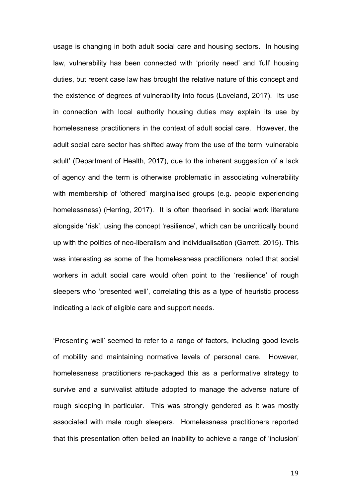usage is changing in both adult social care and housing sectors. In housing law, vulnerability has been connected with 'priority need' and 'full' housing duties, but recent case law has brought the relative nature of this concept and the existence of degrees of vulnerability into focus (Loveland, 2017). Its use in connection with local authority housing duties may explain its use by homelessness practitioners in the context of adult social care. However, the adult social care sector has shifted away from the use of the term 'vulnerable adult' (Department of Health, 2017), due to the inherent suggestion of a lack of agency and the term is otherwise problematic in associating vulnerability with membership of 'othered' marginalised groups (e.g. people experiencing homelessness) (Herring, 2017). It is often theorised in social work literature alongside 'risk', using the concept 'resilience', which can be uncritically bound up with the politics of neo-liberalism and individualisation (Garrett, 2015). This was interesting as some of the homelessness practitioners noted that social workers in adult social care would often point to the 'resilience' of rough sleepers who 'presented well', correlating this as a type of heuristic process indicating a lack of eligible care and support needs.

'Presenting well' seemed to refer to a range of factors, including good levels of mobility and maintaining normative levels of personal care. However, homelessness practitioners re-packaged this as a performative strategy to survive and a survivalist attitude adopted to manage the adverse nature of rough sleeping in particular. This was strongly gendered as it was mostly associated with male rough sleepers. Homelessness practitioners reported that this presentation often belied an inability to achieve a range of 'inclusion'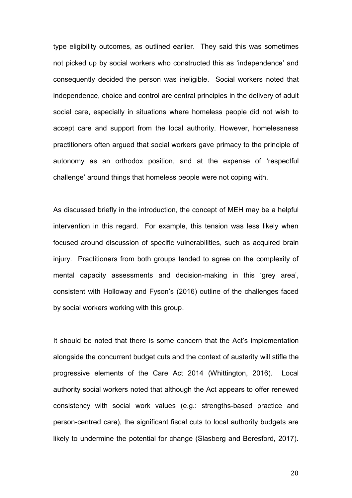type eligibility outcomes, as outlined earlier. They said this was sometimes not picked up by social workers who constructed this as 'independence' and consequently decided the person was ineligible. Social workers noted that independence, choice and control are central principles in the delivery of adult social care, especially in situations where homeless people did not wish to accept care and support from the local authority. However, homelessness practitioners often argued that social workers gave primacy to the principle of autonomy as an orthodox position, and at the expense of 'respectful challenge' around things that homeless people were not coping with.

As discussed briefly in the introduction, the concept of MEH may be a helpful intervention in this regard. For example, this tension was less likely when focused around discussion of specific vulnerabilities, such as acquired brain injury. Practitioners from both groups tended to agree on the complexity of mental capacity assessments and decision-making in this 'grey area', consistent with Holloway and Fyson's (2016) outline of the challenges faced by social workers working with this group.

It should be noted that there is some concern that the Act's implementation alongside the concurrent budget cuts and the context of austerity will stifle the progressive elements of the Care Act 2014 (Whittington, 2016). Local authority social workers noted that although the Act appears to offer renewed consistency with social work values (e.g.: strengths-based practice and person-centred care), the significant fiscal cuts to local authority budgets are likely to undermine the potential for change (Slasberg and Beresford, 2017).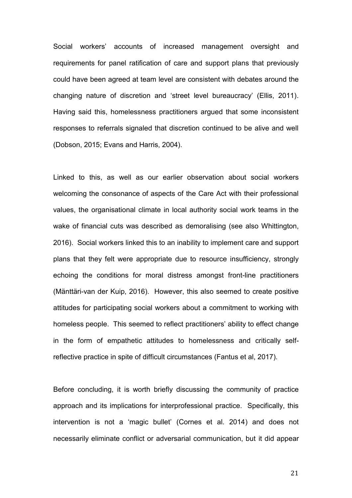Social workers' accounts of increased management oversight and requirements for panel ratification of care and support plans that previously could have been agreed at team level are consistent with debates around the changing nature of discretion and 'street level bureaucracy' (Ellis, 2011). Having said this, homelessness practitioners argued that some inconsistent responses to referrals signaled that discretion continued to be alive and well (Dobson, 2015; Evans and Harris, 2004).

Linked to this, as well as our earlier observation about social workers welcoming the consonance of aspects of the Care Act with their professional values, the organisational climate in local authority social work teams in the wake of financial cuts was described as demoralising (see also Whittington, 2016). Social workers linked this to an inability to implement care and support plans that they felt were appropriate due to resource insufficiency, strongly echoing the conditions for moral distress amongst front-line practitioners (Mänttäri-van der Kuip, 2016). However, this also seemed to create positive attitudes for participating social workers about a commitment to working with homeless people. This seemed to reflect practitioners' ability to effect change in the form of empathetic attitudes to homelessness and critically selfreflective practice in spite of difficult circumstances (Fantus et al, 2017).

Before concluding, it is worth briefly discussing the community of practice approach and its implications for interprofessional practice. Specifically, this intervention is not a 'magic bullet' (Cornes et al. 2014) and does not necessarily eliminate conflict or adversarial communication, but it did appear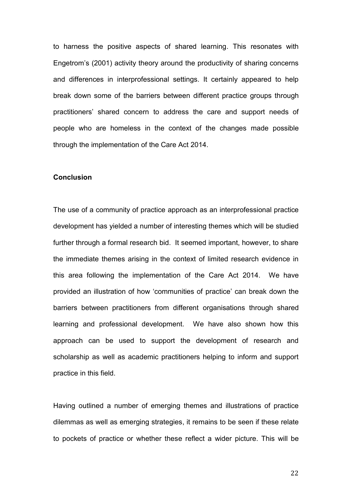to harness the positive aspects of shared learning. This resonates with Engetrom's (2001) activity theory around the productivity of sharing concerns and differences in interprofessional settings. It certainly appeared to help break down some of the barriers between different practice groups through practitioners' shared concern to address the care and support needs of people who are homeless in the context of the changes made possible through the implementation of the Care Act 2014.

## **Conclusion**

The use of a community of practice approach as an interprofessional practice development has yielded a number of interesting themes which will be studied further through a formal research bid. It seemed important, however, to share the immediate themes arising in the context of limited research evidence in this area following the implementation of the Care Act 2014. We have provided an illustration of how 'communities of practice' can break down the barriers between practitioners from different organisations through shared learning and professional development. We have also shown how this approach can be used to support the development of research and scholarship as well as academic practitioners helping to inform and support practice in this field.

Having outlined a number of emerging themes and illustrations of practice dilemmas as well as emerging strategies, it remains to be seen if these relate to pockets of practice or whether these reflect a wider picture. This will be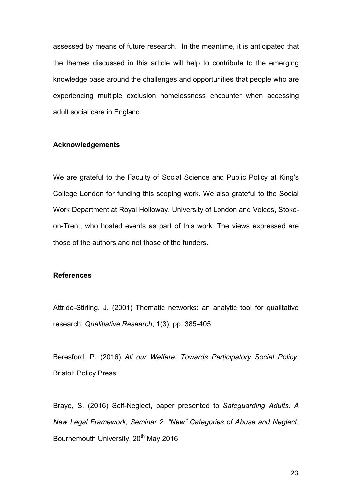assessed by means of future research. In the meantime, it is anticipated that the themes discussed in this article will help to contribute to the emerging knowledge base around the challenges and opportunities that people who are experiencing multiple exclusion homelessness encounter when accessing adult social care in England.

#### **Acknowledgements**

We are grateful to the Faculty of Social Science and Public Policy at King's College London for funding this scoping work. We also grateful to the Social Work Department at Royal Holloway, University of London and Voices, Stokeon-Trent, who hosted events as part of this work. The views expressed are those of the authors and not those of the funders.

# **References**

Attride-Stirling, J. (2001) Thematic networks: an analytic tool for qualitative research, *Qualitiative Research*, **1**(3); pp. 385-405

Beresford, P. (2016) *All our Welfare: Towards Participatory Social Policy*, Bristol: Policy Press

Braye, S. (2016) Self-Neglect, paper presented to *Safeguarding Adults: A New Legal Framework, Seminar 2: "New" Categories of Abuse and Neglect*, Bournemouth University, 20<sup>th</sup> May 2016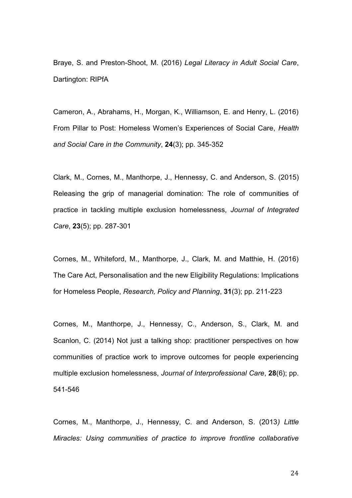Braye, S. and Preston-Shoot, M. (2016) *Legal Literacy in Adult Social Care*, Dartington: RIPfA

Cameron, A., Abrahams, H., Morgan, K., Williamson, E. and Henry, L. (2016) From Pillar to Post: Homeless Women's Experiences of Social Care, *Health and Social Care in the Community*, **24**(3); pp. 345-352

Clark, M., Cornes, M., Manthorpe, J., Hennessy, C. and Anderson, S. (2015) Releasing the grip of managerial domination: The role of communities of practice in tackling multiple exclusion homelessness, *Journal of Integrated Care*, **23**(5); pp. 287-301

Cornes, M., Whiteford, M., Manthorpe, J., Clark, M. and Matthie, H. (2016) The Care Act, Personalisation and the new Eligibility Regulations: Implications for Homeless People, *Research, Policy and Planning*, **31**(3); pp. 211-223

Cornes, M., Manthorpe, J., Hennessy, C., Anderson, S., Clark, M. and Scanlon, C. (2014) Not just a talking shop: practitioner perspectives on how communities of practice work to improve outcomes for people experiencing multiple exclusion homelessness, *Journal of Interprofessional Care*, **28**(6); pp. 541-546

Cornes, M., Manthorpe, J., Hennessy, C. and Anderson, S. (2013*) Little Miracles: Using communities of practice to improve frontline collaborative*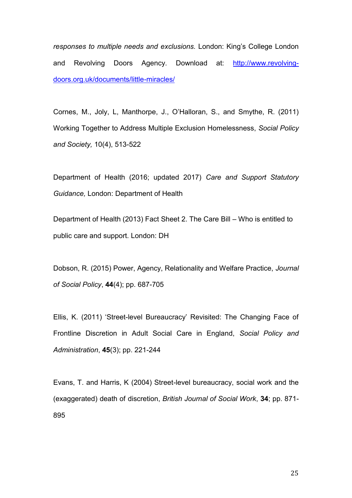*responses to multiple needs and exclusions.* London: King's College London and Revolving Doors Agency. Download at: [http://www.revolving](http://www.revolving-doors.org.uk/documents/little-miracles/)[doors.org.uk/documents/little-miracles/](http://www.revolving-doors.org.uk/documents/little-miracles/)

Cornes, M., Joly, L, Manthorpe, J., O'Halloran, S., and Smythe, R. (2011) Working Together to Address Multiple Exclusion Homelessness, *Social Policy and Society,* 10(4), 513-522

Department of Health (2016; updated 2017) *Care and Support Statutory Guidance,* London: Department of Health

Department of Health (2013) Fact Sheet 2. The Care Bill – Who is entitled to public care and support. London: DH

Dobson, R. (2015) Power, Agency, Relationality and Welfare Practice, *Journal of Social Policy*, **44**(4); pp. 687-705

Ellis, K. (2011) 'Street-level Bureaucracy' Revisited: The Changing Face of Frontline Discretion in Adult Social Care in England, *Social Policy and Administration*, **45**(3); pp. 221-244

Evans, T. and Harris, K (2004) Street-level bureaucracy, social work and the (exaggerated) death of discretion, *British Journal of Social Work*, **34**; pp. 871- 895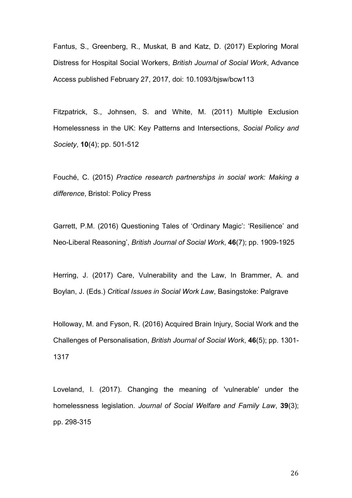Fantus, S., Greenberg, R., Muskat, B and Katz, D. (2017) Exploring Moral Distress for Hospital Social Workers, *British Journal of Social Work*, Advance Access published February 27, 2017, doi: 10.1093/bjsw/bcw113

Fitzpatrick, S., Johnsen, S. and White, M. (2011) Multiple Exclusion Homelessness in the UK: Key Patterns and Intersections, *Social Policy and Society*, **10**(4); pp. 501-512

Fouché, C. (2015) *Practice research partnerships in social work: Making a difference*, Bristol: Policy Press

Garrett, P.M. (2016) Questioning Tales of 'Ordinary Magic': 'Resilience' and Neo-Liberal Reasoning', *British Journal of Social Work*, **46**(7); pp. 1909-1925

Herring, J. (2017) Care, Vulnerability and the Law, In Brammer, A. and Boylan, J. (Eds.) *Critical Issues in Social Work Law*, Basingstoke: Palgrave

Holloway, M. and Fyson, R. (2016) Acquired Brain Injury, Social Work and the Challenges of Personalisation, *British Journal of Social Work*, **46**(5); pp. 1301- 1317

Loveland, I. (2017). Changing the meaning of 'vulnerable' under the homelessness legislation. *Journal of Social Welfare and Family Law*, **39**(3); pp. 298-315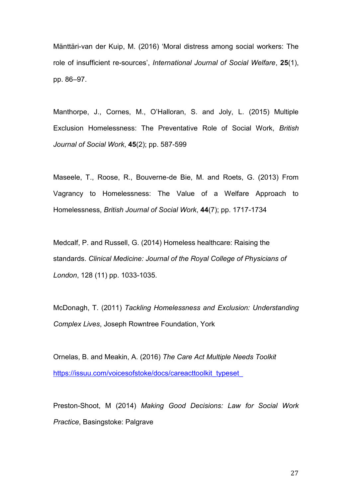Mänttäri-van der Kuip, M. (2016) 'Moral distress among social workers: The role of insufficient re-sources', *International Journal of Social Welfare*, **25**(1), pp. 86–97.

Manthorpe, J., Cornes, M., O'Halloran, S. and Joly, L. (2015) Multiple Exclusion Homelessness: The Preventative Role of Social Work, *British Journal of Social Work*, **45**(2); pp. 587-599

Maseele, T., Roose, R., Bouverne-de Bie, M. and Roets, G. (2013) From Vagrancy to Homelessness: The Value of a Welfare Approach to Homelessness, *British Journal of Social Work*, **44**(7); pp. 1717-1734

Medcalf, P. and Russell, G. (2014) Homeless healthcare: Raising the standards. *Clinical Medicine: Journal of the Royal College of Physicians of London*, 128 (11) pp. 1033-1035.

McDonagh, T. (2011) *Tackling Homelessness and Exclusion: Understanding Complex Lives*, Joseph Rowntree Foundation, York

Ornelas, B. and Meakin, A. (2016) *The Care Act Multiple Needs Toolkit* https://issuu.com/voicesofstoke/docs/careacttoolkit\_typeset

Preston-Shoot, M (2014) *Making Good Decisions: Law for Social Work Practice*, Basingstoke: Palgrave